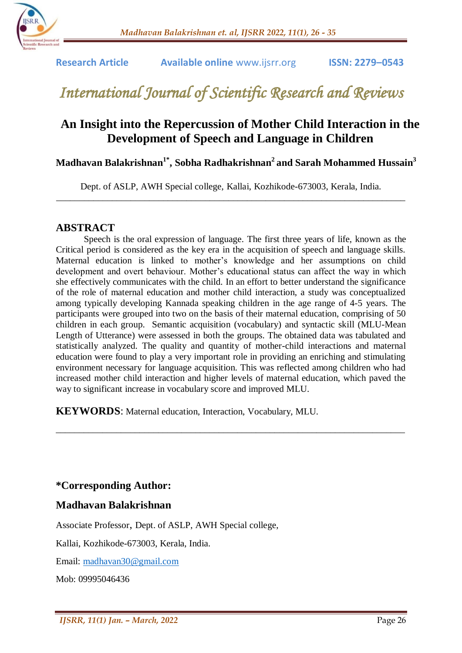

# *International Journal of Scientific Research and Reviews*

# **An Insight into the Repercussion of Mother Child Interaction in the Development of Speech and Language in Children**

**Madhavan Balakrishnan1\*, Sobha Radhakrishnan<sup>2</sup>and Sarah Mohammed Hussain<sup>3</sup>**

Dept. of ASLP, AWH Special college, Kallai, Kozhikode-673003, Kerala, India. \_\_\_\_\_\_\_\_\_\_\_\_\_\_\_\_\_\_\_\_\_\_\_\_\_\_\_\_\_\_\_\_\_\_\_\_\_\_\_\_\_\_\_\_\_\_\_\_\_\_\_\_\_\_\_\_\_\_\_\_\_\_\_\_\_\_\_\_\_\_\_\_\_\_\_

### **ABSTRACT**

Speech is the oral expression of language. The first three years of life, known as the Critical period is considered as the key era in the acquisition of speech and language skills. Maternal education is linked to mother's knowledge and her assumptions on child development and overt behaviour. Mother's educational status can affect the way in which she effectively communicates with the child. In an effort to better understand the significance of the role of maternal education and mother child interaction, a study was conceptualized among typically developing Kannada speaking children in the age range of 4-5 years. The participants were grouped into two on the basis of their maternal education, comprising of 50 children in each group. Semantic acquisition (vocabulary) and syntactic skill (MLU-Mean Length of Utterance) were assessed in both the groups. The obtained data was tabulated and statistically analyzed. The quality and quantity of mother-child interactions and maternal education were found to play a very important role in providing an enriching and stimulating environment necessary for language acquisition. This was reflected among children who had increased mother child interaction and higher levels of maternal education, which paved the way to significant increase in vocabulary score and improved MLU.

\_\_\_\_\_\_\_\_\_\_\_\_\_\_\_\_\_\_\_\_\_\_\_\_\_\_\_\_\_\_\_\_\_\_\_\_\_\_\_\_\_\_\_\_\_\_\_\_\_\_\_\_\_\_\_\_\_\_\_\_\_\_\_\_\_\_\_\_\_\_\_\_\_\_\_

**KEYWORDS**: Maternal education, Interaction, Vocabulary, MLU.

# **\*Corresponding Author:**

# **Madhavan Balakrishnan**

Associate Professor, Dept. of ASLP, AWH Special college,

Kallai, Kozhikode-673003, Kerala, India.

Email: [madhavan30@gmail.com](mailto:madhavan30@gmail.com)

Mob: 09995046436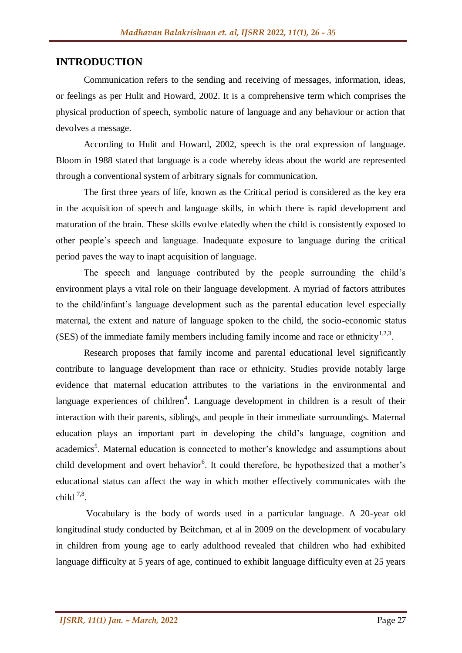#### **INTRODUCTION**

Communication refers to the sending and receiving of messages, information, ideas, or feelings as per Hulit and Howard, 2002. It is a comprehensive term which comprises the physical production of speech, symbolic nature of language and any behaviour or action that devolves a message.

According to Hulit and Howard, 2002, speech is the oral expression of language. Bloom in 1988 stated that language is a code whereby ideas about the world are represented through a conventional system of arbitrary signals for communication.

The first three years of life, known as the Critical period is considered as the key era in the acquisition of speech and language skills, in which there is rapid development and maturation of the brain. These skills evolve elatedly when the child is consistently exposed to other people's speech and language. Inadequate exposure to language during the critical period paves the way to inapt acquisition of language.

The speech and language contributed by the people surrounding the child's environment plays a vital role on their language development. A myriad of factors attributes to the child/infant's language development such as the parental education level especially maternal, the extent and nature of language spoken to the child, the socio-economic status  $(SES)$  of the immediate family members including family income and race or ethnicity<sup>1,2,3</sup>.

Research proposes that family income and parental educational level significantly contribute to language development than race or ethnicity. Studies provide notably large evidence that maternal education attributes to the variations in the environmental and language experiences of children<sup>4</sup>. Language development in children is a result of their interaction with their parents, siblings, and people in their immediate surroundings. Maternal education plays an important part in developing the child's language, cognition and academics<sup>5</sup>. Maternal education is connected to mother's knowledge and assumptions about child development and overt behavior<sup>6</sup>. It could therefore, be hypothesized that a mother's educational status can affect the way in which mother effectively communicates with the child  $7,8$ .

 Vocabulary is the body of words used in a particular language. A 20-year old longitudinal study conducted by Beitchman, et al in 2009 on the development of vocabulary in children from young age to early adulthood revealed that children who had exhibited language difficulty at 5 years of age, continued to exhibit language difficulty even at 25 years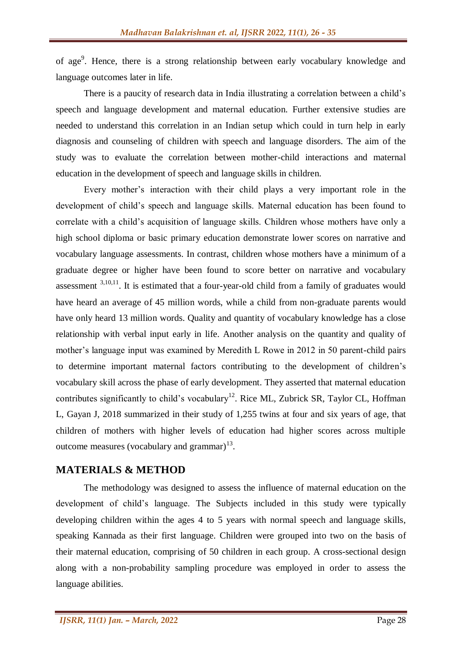of age<sup>9</sup>. Hence, there is a strong relationship between early vocabulary knowledge and language outcomes later in life.

There is a paucity of research data in India illustrating a correlation between a child's speech and language development and maternal education. Further extensive studies are needed to understand this correlation in an Indian setup which could in turn help in early diagnosis and counseling of children with speech and language disorders. The aim of the study was to evaluate the correlation between mother-child interactions and maternal education in the development of speech and language skills in children.

Every mother's interaction with their child plays a very important role in the development of child's speech and language skills. Maternal education has been found to correlate with a child's acquisition of language skills. Children whose mothers have only a high school diploma or basic primary education demonstrate lower scores on narrative and vocabulary language assessments. In contrast, children whose mothers have a minimum of a graduate degree or higher have been found to score better on narrative and vocabulary assessment  $3,10,11$ . It is estimated that a four-year-old child from a family of graduates would have heard an average of 45 million words, while a child from non-graduate parents would have only heard 13 million words. Quality and quantity of vocabulary knowledge has a close relationship with verbal input early in life. Another analysis on the quantity and quality of mother's language input was examined by Meredith L Rowe in 2012 in 50 parent-child pairs to determine important maternal factors contributing to the development of children's vocabulary skill across the phase of early development. They asserted that maternal education contributes significantly to child's vocabulary<sup>12</sup>. Rice ML, Zubrick SR, Taylor CL, Hoffman L, Gayan J, 2018 summarized in their study of 1,255 twins at four and six years of age, that children of mothers with higher levels of education had higher scores across multiple outcome measures (vocabulary and grammar) $^{13}$ .

#### **MATERIALS & METHOD**

The methodology was designed to assess the influence of maternal education on the development of child's language. The Subjects included in this study were typically developing children within the ages 4 to 5 years with normal speech and language skills, speaking Kannada as their first language. Children were grouped into two on the basis of their maternal education, comprising of 50 children in each group. A cross-sectional design along with a non-probability sampling procedure was employed in order to assess the language abilities.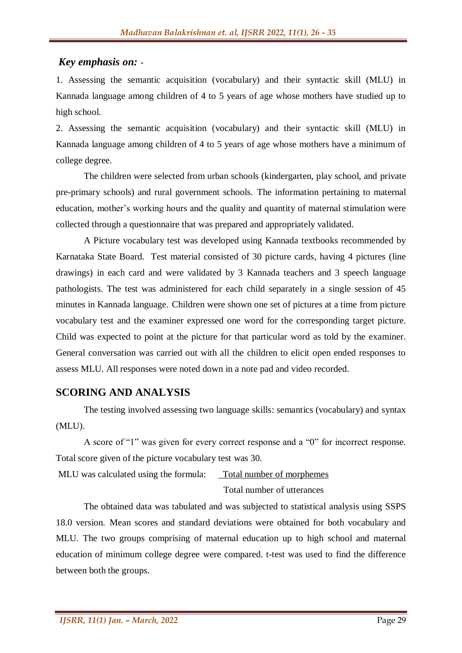### *Key emphasis on:* -

1. Assessing the semantic acquisition (vocabulary) and their syntactic skill (MLU) in Kannada language among children of 4 to 5 years of age whose mothers have studied up to high school.

2. Assessing the semantic acquisition (vocabulary) and their syntactic skill (MLU) in Kannada language among children of 4 to 5 years of age whose mothers have a minimum of college degree.

The children were selected from urban schools (kindergarten, play school, and private pre-primary schools) and rural government schools. The information pertaining to maternal education, mother's working hours and the quality and quantity of maternal stimulation were collected through a questionnaire that was prepared and appropriately validated.

A Picture vocabulary test was developed using Kannada textbooks recommended by Karnataka State Board. Test material consisted of 30 picture cards, having 4 pictures (line drawings) in each card and were validated by 3 Kannada teachers and 3 speech language pathologists. The test was administered for each child separately in a single session of 45 minutes in Kannada language. Children were shown one set of pictures at a time from picture vocabulary test and the examiner expressed one word for the corresponding target picture. Child was expected to point at the picture for that particular word as told by the examiner. General conversation was carried out with all the children to elicit open ended responses to assess MLU. All responses were noted down in a note pad and video recorded.

# **SCORING AND ANALYSIS**

The testing involved assessing two language skills: semantics (vocabulary) and syntax (MLU).

A score of "1" was given for every correct response and a "0" for incorrect response. Total score given of the picture vocabulary test was 30.

MLU was calculated using the formula: Total number of morphemes

Total number of utterances

The obtained data was tabulated and was subjected to statistical analysis using SSPS 18.0 version. Mean scores and standard deviations were obtained for both vocabulary and MLU. The two groups comprising of maternal education up to high school and maternal education of minimum college degree were compared. t-test was used to find the difference between both the groups.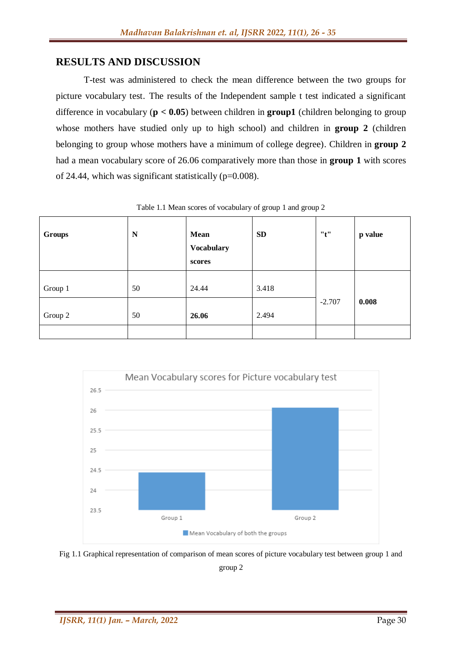#### **RESULTS AND DISCUSSION**

T-test was administered to check the mean difference between the two groups for picture vocabulary test. The results of the Independent sample t test indicated a significant difference in vocabulary (**p < 0.05**) between children in **group1** (children belonging to group whose mothers have studied only up to high school) and children in **group 2** (children belonging to group whose mothers have a minimum of college degree). Children in **group 2** had a mean vocabulary score of 26.06 comparatively more than those in **group 1** with scores of 24.44, which was significant statistically (p=0.008).

| <b>Groups</b>      | N        | <b>Mean</b><br><b>Vocabulary</b><br>scores | <b>SD</b>      | "t"      | p value |
|--------------------|----------|--------------------------------------------|----------------|----------|---------|
| Group 1<br>Group 2 | 50<br>50 | 24.44<br>26.06                             | 3.418<br>2.494 | $-2.707$ | 0.008   |
|                    |          |                                            |                |          |         |

Table 1.1 Mean scores of vocabulary of group 1 and group 2



Fig 1.1 Graphical representation of comparison of mean scores of picture vocabulary test between group 1 and

group 2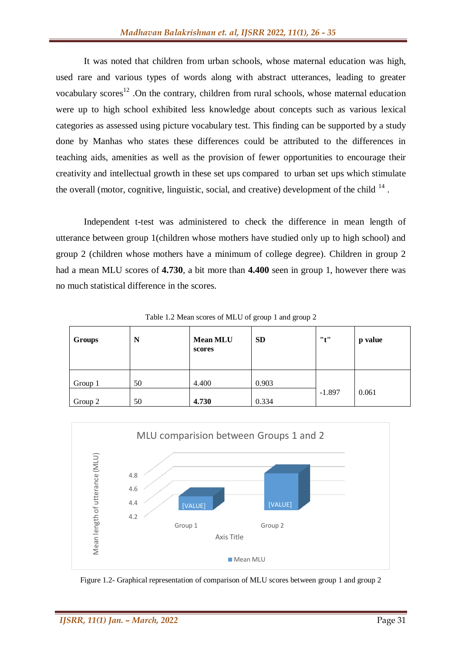It was noted that children from urban schools, whose maternal education was high, used rare and various types of words along with abstract utterances, leading to greater vocabulary scores<sup>12</sup>. On the contrary, children from rural schools, whose maternal education were up to high school exhibited less knowledge about concepts such as various lexical categories as assessed using picture vocabulary test. This finding can be supported by a study done by Manhas who states these differences could be attributed to the differences in teaching aids, amenities as well as the provision of fewer opportunities to encourage their creativity and intellectual growth in these set ups compared to urban set ups which stimulate the overall (motor, cognitive, linguistic, social, and creative) development of the child  $^{14}$ .

Independent t-test was administered to check the difference in mean length of utterance between group 1(children whose mothers have studied only up to high school) and group 2 (children whose mothers have a minimum of college degree). Children in group 2 had a mean MLU scores of **4.730**, a bit more than **4.400** seen in group 1, however there was no much statistical difference in the scores.

| <b>Groups</b> | N  | <b>Mean MLU</b><br>scores | <b>SD</b> | "t"      | p value |
|---------------|----|---------------------------|-----------|----------|---------|
| Group 1       | 50 | 4.400                     | 0.903     | $-1.897$ | 0.061   |
| Group 2       | 50 | 4.730                     | 0.334     |          |         |

Table 1.2 Mean scores of MLU of group 1 and group 2



Figure 1.2- Graphical representation of comparison of MLU scores between group 1 and group 2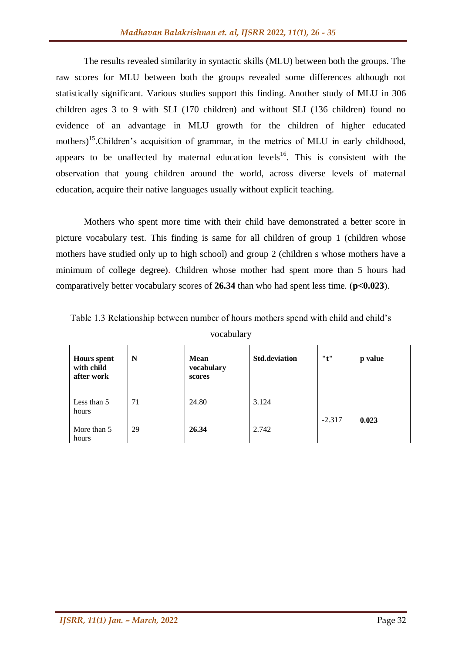The results revealed similarity in syntactic skills (MLU) between both the groups. The raw scores for MLU between both the groups revealed some differences although not statistically significant. Various studies support this finding. Another study of MLU in 306 children ages 3 to 9 with SLI (170 children) and without SLI (136 children) found no evidence of an advantage in MLU growth for the children of higher educated mothers)<sup>15</sup>. Children's acquisition of grammar, in the metrics of MLU in early childhood, appears to be unaffected by maternal education levels<sup>16</sup>. This is consistent with the observation that young children around the world, across diverse levels of maternal education, acquire their native languages usually without explicit teaching.

Mothers who spent more time with their child have demonstrated a better score in picture vocabulary test. This finding is same for all children of group 1 (children whose mothers have studied only up to high school) and group 2 (children s whose mothers have a minimum of college degree). Children whose mother had spent more than 5 hours had comparatively better vocabulary scores of **26.34** than who had spent less time. (**p<0.023**).

| <b>Hours</b> spent<br>with child<br>after work | N  | <b>Mean</b><br>vocabulary<br>scores | <b>Std.deviation</b> |          | p value |
|------------------------------------------------|----|-------------------------------------|----------------------|----------|---------|
| Less than 5<br>hours                           | 71 | 24.80                               | 3.124                |          | 0.023   |
| More than 5<br>hours                           | 29 | 26.34                               | 2.742                | $-2.317$ |         |

Table 1.3 Relationship between number of hours mothers spend with child and child's

vocabulary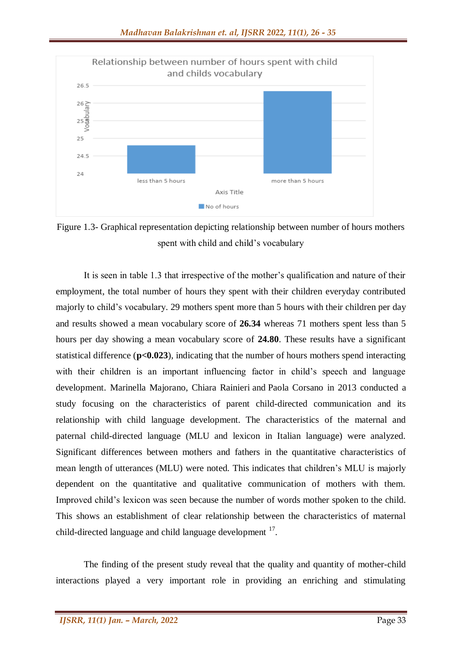

Figure 1.3- Graphical representation depicting relationship between number of hours mothers spent with child and child's vocabulary

It is seen in table 1.3 that irrespective of the mother's qualification and nature of their employment, the total number of hours they spent with their children everyday contributed majorly to child's vocabulary. 29 mothers spent more than 5 hours with their children per day and results showed a mean vocabulary score of **26.34** whereas 71 mothers spent less than 5 hours per day showing a mean vocabulary score of **24.80**. These results have a significant statistical difference (**p<0.023**), indicating that the number of hours mothers spend interacting with their children is an important influencing factor in child's speech and language development. Marinella Majorano, Chiara Rainieri and Paola Corsano in 2013 conducted a study focusing on the characteristics of parent child-directed communication and its relationship with child language development. The characteristics of the maternal and paternal child-directed language (MLU and lexicon in Italian language) were analyzed. Significant differences between mothers and fathers in the quantitative characteristics of mean length of utterances (MLU) were noted. This indicates that children's MLU is majorly dependent on the quantitative and qualitative communication of mothers with them. Improved child's lexicon was seen because the number of words mother spoken to the child. This shows an establishment of clear relationship between the characteristics of maternal child-directed language and child language development <sup>17</sup>.

The finding of the present study reveal that the quality and quantity of mother-child interactions played a very important role in providing an enriching and stimulating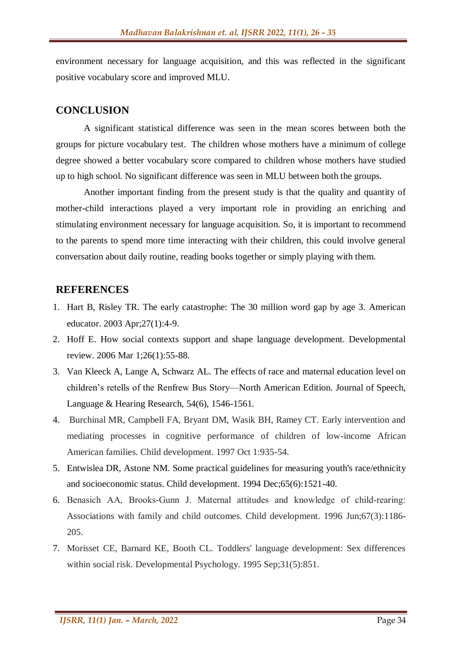environment necessary for language acquisition, and this was reflected in the significant positive vocabulary score and improved MLU.

# **CONCLUSION**

A significant statistical difference was seen in the mean scores between both the groups for picture vocabulary test. The children whose mothers have a minimum of college degree showed a better vocabulary score compared to children whose mothers have studied up to high school. No significant difference was seen in MLU between both the groups.

Another important finding from the present study is that the quality and quantity of mother-child interactions played a very important role in providing an enriching and stimulating environment necessary for language acquisition. So, it is important to recommend to the parents to spend more time interacting with their children, this could involve general conversation about daily routine, reading books together or simply playing with them.

# **REFERENCES**

- 1. Hart B, Risley TR. The early catastrophe: The 30 million word gap by age 3. American educator. 2003 Apr;27(1):4-9.
- 2. Hoff E. How social contexts support and shape language development. Developmental review. 2006 Mar 1;26(1):55-88.
- 3. Van Kleeck A, Lange A, Schwarz AL. The effects of race and maternal education level on children's retells of the Renfrew Bus Story—North American Edition. Journal of Speech, Language & Hearing Research, 54(6), 1546-1561.
- 4. Burchinal MR, Campbell FA, Bryant DM, Wasik BH, Ramey CT. Early intervention and mediating processes in cognitive performance of children of low-income African American families. Child development. 1997 Oct 1:935-54.
- 5. Entwislea DR, Astone NM. Some practical guidelines for measuring youth's race/ethnicity and socioeconomic status. Child development. 1994 Dec;65(6):1521-40.
- 6. Benasich AA, Brooks‐Gunn J. Maternal attitudes and knowledge of child‐rearing: Associations with family and child outcomes. Child development. 1996 Jun;67(3):1186- 205.
- 7. Morisset CE, Barnard KE, Booth CL. Toddlers' language development: Sex differences within social risk. Developmental Psychology. 1995 Sep;31(5):851.